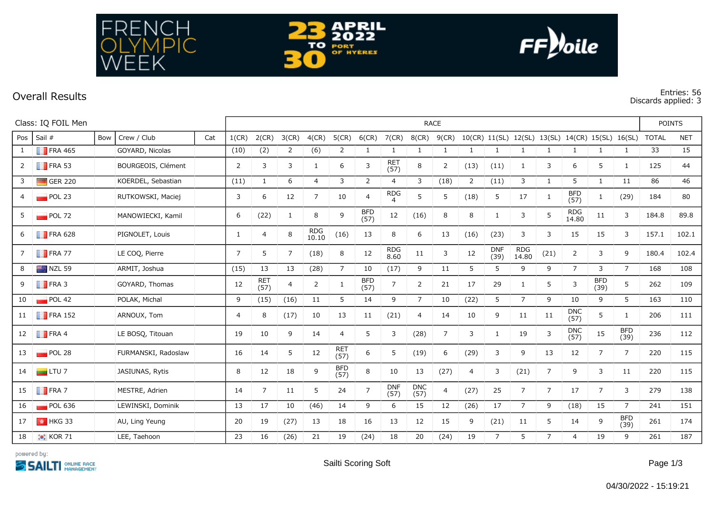

**Overall Results Entries: 56 Discards applied: 3**

| Class: IQ FOIL Men |                        |     |                     |     | <b>RACE</b>    |                |                |                     |                    |                    |                              |                    |              |                |                    |                                                  |                |                     |                    |                    | <b>POINTS</b> |            |  |
|--------------------|------------------------|-----|---------------------|-----|----------------|----------------|----------------|---------------------|--------------------|--------------------|------------------------------|--------------------|--------------|----------------|--------------------|--------------------------------------------------|----------------|---------------------|--------------------|--------------------|---------------|------------|--|
|                    | Pos Sail #             | Bow | Crew / Club         | Cat | 1(CR)          | 2(CR)          | 3(CR)          | 4(CR)               | 5(CR)              | $6$ (CR)           | 7(CR)                        | 8(CR)              | 9(CR)        |                |                    | 10(CR) 11(SL) 12(SL) 13(SL) 14(CR) 15(SL) 16(SL) |                |                     |                    |                    | <b>TOTAL</b>  | <b>NET</b> |  |
| 1                  | $\blacksquare$ FRA 465 |     | GOYARD, Nicolas     |     | (10)           | (2)            | $\overline{2}$ | (6)                 | 2                  | 1                  | 1                            | 1                  | $\mathbf{1}$ | 1              | 1                  | 1                                                | 1              | 1                   | $\mathbf{1}$       | 1                  | 33            | 15         |  |
| $2 \square$        | $\blacksquare$ FRA 53  |     | BOURGEOIS, Clément  |     | 2              | 3              | 3              | 1                   | 6                  | 3                  | <b>RET</b><br>(57)           | 8                  | 2            | (13)           | (11)               | 1                                                | 3              | 6                   | 5                  | 1                  | 125           | 44         |  |
| 3                  | $\Box$ GER 220         |     | KOERDEL, Sebastian  |     | (11)           | 1              | 6              | $\overline{4}$      | 3                  | 2                  | $\overline{4}$               | 3                  | (18)         | $\overline{2}$ | (11)               | 3                                                | $\mathbf{1}$   | 5                   | $\mathbf{1}$       | 11                 | 86            | 46         |  |
| 4                  | $\blacksquare$ POL 23  |     | RUTKOWSKI, Maciej   |     | 3              | 6              | 12             | $\overline{7}$      | 10                 | $\overline{4}$     | <b>RDG</b><br>$\overline{4}$ | 5                  | 5            | (18)           | 5                  | 17                                               | $\mathbf{1}$   | <b>BFD</b><br>(57)  | $\mathbf{1}$       | (29)               | 184           | 80         |  |
| 5                  | $POL$ 72               |     | MANOWIECKI, Kamil   |     | 6              | (22)           | 1              | 8                   | 9                  | <b>BFD</b><br>(57) | 12                           | (16)               | 8            | 8              | -1                 | 3                                                | 5              | <b>RDG</b><br>14.80 | 11                 | 3                  | 184.8         | 89.8       |  |
| 6                  | $\blacksquare$ FRA 628 |     | PIGNOLET, Louis     |     | $\mathbf{1}$   | 4              | 8              | <b>RDG</b><br>10.10 | (16)               | 13                 | 8                            | 6                  | 13           | (16)           | (23)               | 3                                                | 3              | 15                  | 15                 | 3                  | 157.1         | 102.1      |  |
| 7                  | $\blacksquare$ FRA 77  |     | LE COQ, Pierre      |     | $\overline{7}$ | 5              | $\overline{7}$ | (18)                | 8                  | 12                 | <b>RDG</b><br>8.60           | 11                 | 3            | 12             | <b>DNF</b><br>(39) | <b>RDG</b><br>14.80                              | (21)           | $\overline{2}$      | 3                  | 9                  | 180.4         | 102.4      |  |
| 8                  | $NZL$ 59               |     | ARMIT, Joshua       |     | (15)           | 13             | 13             | (28)                | $\overline{7}$     | 10                 | (17)                         | 9                  | 11           | 5              | 5                  | 9                                                | 9              | $\overline{7}$      | 3                  | $7^{\circ}$        | 168           | 108        |  |
| 9                  | $\blacksquare$ FRA 3   |     | GOYARD, Thomas      |     | 12             | RET<br>(57)    | $\overline{4}$ | $\overline{2}$      | $\mathbf{1}$       | <b>BFD</b><br>(57) | $\overline{7}$               | $\overline{2}$     | 21           | 17             | 29                 | $\mathbf{1}$                                     | 5              | 3                   | <b>BFD</b><br>(39) | 5                  | 262           | 109        |  |
| 10                 | POL 42                 |     | POLAK, Michal       |     | 9              | (15)           | (16)           | 11                  | 5                  | 14                 | 9                            | $\overline{7}$     | 10           | (22)           | 5                  | $\overline{7}$                                   | 9              | 10                  | 9                  | 5                  | 163           | 110        |  |
| 11                 | $\blacksquare$ FRA 152 |     | ARNOUX, Tom         |     | 4              | 8              | (17)           | 10                  | 13                 | 11                 | (21)                         | 4                  | 14           | 10             | 9                  | 11                                               | 11             | <b>DNC</b><br>(57)  | 5                  | $\mathbf{1}$       | 206           | 111        |  |
|                    | 12 <b>FRA 4</b>        |     | LE BOSQ, Titouan    |     | 19             | 10             | 9              | 14                  | 4                  | 5                  | 3                            | (28)               | 7            | 3              | 1                  | 19                                               | 3              | <b>DNC</b><br>(57)  | 15                 | <b>BFD</b><br>(39) | 236           | 112        |  |
| 13                 | POL28                  |     | FURMANSKI, Radoslaw |     | 16             | 14             | 5              | 12                  | <b>RET</b><br>(57) | 6                  | 5                            | (19)               | 6            | (29)           | 3                  | 9                                                | 13             | 12                  | $\overline{7}$     | $\overline{7}$     | 220           | 115        |  |
| 14                 | $\Box$ LTU 7           |     | JASIUNAS, Rytis     |     | 8              | 12             | 18             | 9                   | <b>BFD</b><br>(57) | 8                  | 10                           | 13                 | (27)         | $\overline{4}$ | 3                  | (21)                                             | $\overline{7}$ | 9                   | 3                  | 11                 | 220           | 115        |  |
| 15                 | $\blacksquare$ FRA 7   |     | MESTRE, Adrien      |     | 14             | $\overline{7}$ | 11             | 5                   | 24                 | $\overline{7}$     | <b>DNF</b><br>(57)           | <b>DNC</b><br>(57) | 4            | (27)           | 25                 | 7                                                | $\overline{7}$ | 17                  | $\overline{7}$     | 3                  | 279           | 138        |  |
| 16                 | POL 636                |     | LEWINSKI, Dominik   |     | 13             | 17             | 10             | (46)                | 14                 | 9                  | 6                            | 15                 | 12           | (26)           | 17                 | $\overline{7}$                                   | 9              | (18)                | 15                 | $\overline{7}$     | 241           | 151        |  |
| 17                 | $\parallel$ + HKG 33   |     | AU, Ling Yeung      |     | 20             | 19             | (27)           | 13                  | 18                 | 16                 | 13                           | 12                 | 15           | 9              | (21)               | 11                                               | 5              | 14                  | 9                  | <b>BFD</b><br>(39) | 261           | 174        |  |
| 18                 | $\bullet$ KOR 71       |     | LEE, Taehoon        |     | 23             | 16             | (26)           | 21                  | 19                 | (24)               | 18                           | 20                 | (24)         | 19             | $\overline{7}$     | 5                                                | $\overline{7}$ | 4                   | 19                 | 9                  | 261           | 187        |  |

**APRIL** 

**PORT**<br> **PORT**<br>
OF HYERES

тo

 $\bullet$ 

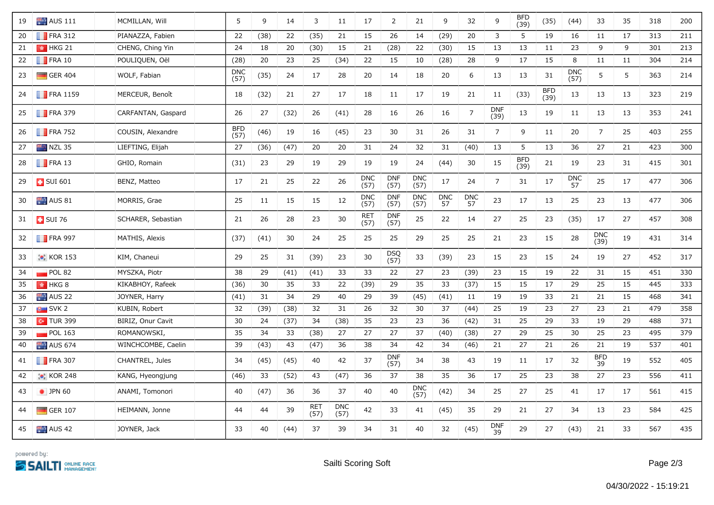| 19 | <b>AUS</b> 111          | MCMILLAN, Will     | 5                  | 9    | 14   | 3                  | 11                 | 17                 | $\overline{2}$     | 21                 | 9                | 32               | 9                  | <b>BFD</b><br>(39) | (35)               | (44)               | 33               | 35 | 318 | 200 |
|----|-------------------------|--------------------|--------------------|------|------|--------------------|--------------------|--------------------|--------------------|--------------------|------------------|------------------|--------------------|--------------------|--------------------|--------------------|------------------|----|-----|-----|
| 20 | $\blacksquare$ FRA 312  | PIANAZZA, Fabien   | 22                 | (38) | 22   | (35)               | 21                 | 15                 | 26                 | 14                 | (29)             | 20               | 3                  | 5                  | 19                 | 16                 | 11               | 17 | 313 | 211 |
| 21 | $\frac{1}{2}$ HKG 21    | CHENG, Ching Yin   | 24                 | 18   | 20   | (30)               | 15                 | 21                 | (28)               | 22                 | (30)             | 15               | 13                 | 13                 | 11                 | 23                 | 9                | 9  | 301 | 213 |
| 22 | $\blacksquare$ FRA 10   | POULIQUEN, Oël     | (28)               | 20   | 23   | 25                 | (34)               | 22                 | 15                 | 10                 | (28)             | 28               | 9                  | 17                 | 15                 | 8                  | 11               | 11 | 304 | 214 |
| 23 | $\Box$ GER 404          | WOLF, Fabian       | <b>DNC</b><br>(57) | (35) | 24   | 17                 | 28                 | 20                 | 14                 | 18                 | 20               | 6                | 13                 | 13                 | 31                 | <b>DNC</b><br>(57) | 5                | 5  | 363 | 214 |
| 24 | $\blacksquare$ FRA 1159 | MERCEUR, Benoît    | 18                 | (32) | 21   | 27                 | 17                 | 18                 | 11                 | 17                 | 19               | 21               | 11                 | (33)               | <b>BFD</b><br>(39) | 13                 | 13               | 13 | 323 | 219 |
| 25 | $\blacksquare$ FRA 379  | CARFANTAN, Gaspard | 26                 | 27   | (32) | 26                 | (41)               | 28                 | 16                 | 26                 | 16               | $\overline{7}$   | <b>DNF</b><br>(39) | 13                 | 19                 | 11                 | 13               | 13 | 353 | 241 |
| 26 | $\blacksquare$ FRA 752  | COUSIN, Alexandre  | <b>BFD</b><br>(57) | (46) | 19   | 16                 | (45)               | 23                 | 30                 | 31                 | 26               | 31               | $\overline{7}$     | 9                  | 11                 | 20                 | $\overline{7}$   | 25 | 403 | 255 |
| 27 | $NZL$ 35                | LIEFTING, Elijah   | 27                 | (36) | (47) | 20                 | 20                 | 31                 | 24                 | 32                 | 31               | (40)             | 13                 | 5                  | 13                 | 36                 | 27               | 21 | 423 | 300 |
| 28 | $\blacksquare$ FRA 13   | GHIO, Romain       | (31)               | 23   | 29   | 19                 | 29                 | 19                 | 19                 | 24                 | (44)             | 30               | 15                 | <b>BFD</b><br>(39) | 21                 | 19                 | 23               | 31 | 415 | 301 |
| 29 | $\frac{1}{2}$ SUI 601   | BENZ, Matteo       | 17                 | 21   | 25   | 22                 | 26                 | <b>DNC</b><br>(57) | <b>DNF</b><br>(57) | <b>DNC</b><br>(57) | 17               | 24               | $\overline{7}$     | 31                 | 17                 | <b>DNC</b><br>57   | 25               | 17 | 477 | 306 |
| 30 | $\blacksquare$ AUS 81   | MORRIS, Grae       | 25                 | 11   | 15   | 15                 | 12                 | <b>DNC</b><br>(57) | <b>DNF</b><br>(57) | <b>DNC</b><br>(57) | <b>DNC</b><br>57 | <b>DNC</b><br>57 | 23                 | 17                 | 13                 | 25                 | 23               | 13 | 477 | 306 |
| 31 | <b>B</b> SUI 76         | SCHARER, Sebastian | 21                 | 26   | 28   | 23                 | 30                 | <b>RET</b><br>(57) | <b>DNF</b><br>(57) | 25                 | 22               | 14               | 27                 | 25                 | 23                 | (35)               | 17               | 27 | 457 | 308 |
| 32 | $\blacksquare$ FRA 997  | MATHIS, Alexis     | (37)               | (41) | 30   | 24                 | 25                 | 25                 | 25                 | 29                 | 25               | 25               | 21                 | 23                 | 15                 | 28                 | DNC<br>(39)      | 19 | 431 | 314 |
| 33 | <b>C</b> KOR 153        | KIM, Chaneui       | 29                 | 25   | 31   | (39)               | 23                 | 30                 | <b>DSQ</b><br>(57) | 33                 | (39)             | 23               | 15                 | 23                 | 15                 | 24                 | 19               | 27 | 452 | 317 |
| 34 | POL 82                  | MYSZKA, Piotr      | 38                 | 29   | (41) | (41)               | 33                 | 33                 | 22                 | 27                 | 23               | (39)             | 23                 | 15                 | 19                 | 22                 | 31               | 15 | 451 | 330 |
| 35 | $\frac{1}{2}$ HKG 8     | KIKABHOY, Rafeek   | (36)               | 30   | 35   | 33                 | 22                 | (39)               | 29                 | 35                 | 33               | (37)             | 15                 | 15                 | 17                 | 29                 | 25               | 15 | 445 | 333 |
| 36 | AUS <sub>22</sub>       | JOYNER, Harry      | (41)               | 31   | 34   | 29                 | 40                 | 29                 | 39                 | (45)               | (41)             | 11               | 19                 | 19                 | 33                 | 21                 | 21               | 15 | 468 | 341 |
| 37 | SVK2                    | KUBIN, Robert      | 32                 | (39) | (38) | 32                 | 31                 | 26                 | 32                 | 30                 | 37               | (44)             | 25                 | 19                 | 23                 | 27                 | 23               | 21 | 479 | 358 |
| 38 | $\sim$ TUR 399          | BIRIZ, Onur Cavit  | 30                 | 24   | (37) | 34                 | (38)               | 35                 | 23                 | 23                 | 36               | (42)             | 31                 | 25                 | 29                 | 33                 | 19               | 29 | 488 | 371 |
| 39 | POL 163                 | ROMANOWSKI,        | 35                 | 34   | 33   | (38)               | 27                 | 27                 | 27                 | 37                 | (40)             | (38)             | 27                 | 29                 | 25                 | 30                 | 25               | 23 | 495 | 379 |
| 40 | <b>AUS 674</b>          | WINCHCOMBE, Caelin | 39                 | (43) | 43   | (47)               | 36                 | 38                 | 34                 | 42                 | 34               | (46)             | 21                 | 27                 | 21                 | 26                 | 21               | 19 | 537 | 401 |
| 41 | $\blacksquare$ FRA 307  | CHANTREL, Jules    | 34                 | (45) | (45) | 40                 | 42                 | 37                 | <b>DNF</b><br>(57) | 34                 | 38               | 43               | 19                 | 11                 | 17                 | 32                 | <b>BFD</b><br>39 | 19 | 552 | 405 |
| 42 | <b>C</b> KOR 248        | KANG, Hyeongjung   | (46)               | 33   | (52) | 43                 | (47)               | 36                 | 37                 | 38                 | 35               | 36               | 17                 | 25                 | 23                 | 38                 | 27               | 23 | 556 | 411 |
| 43 | • JPN 60                | ANAMI, Tomonori    | 40                 | (47) | 36   | 36                 | 37                 | 40                 | 40                 | <b>DNC</b><br>(57) | (42)             | 34               | 25                 | 27                 | 25                 | 41                 | 17               | 17 | 561 | 415 |
| 44 | $\Box$ GER 107          | HEIMANN, Jonne     | 44                 | 44   | 39   | <b>RET</b><br>(57) | <b>DNC</b><br>(57) | 42                 | 33                 | 41                 | (45)             | 35               | 29                 | 21                 | 27                 | 34                 | 13               | 23 | 584 | 425 |
| 45 | AUS 42                  | JOYNER, Jack       | 33                 | 40   | (44) | 37                 | 39                 | 34                 | 31                 | 40                 | 32               | (45)             | <b>DNF</b><br>39   | 29                 | 27                 | (43)               | 21               | 33 | 567 | 435 |